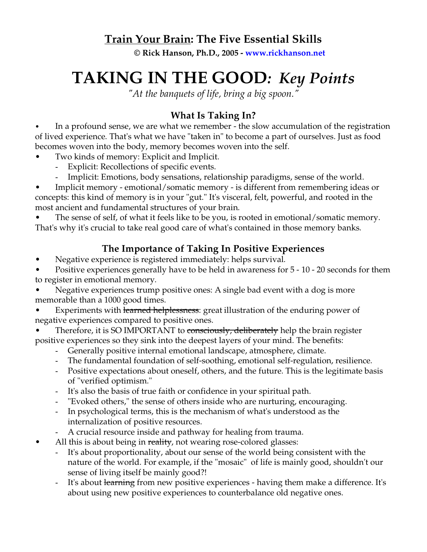## **Train Your Brain: The Five Essential Skills**

**© Rick Hanson, Ph.D., 2005 - www.rickhanson.net**

# **TAKING IN THE GOOD***: Key Points*

*"At the banquets of life, bring a big spoon."*

# **What Is Taking In?**

In a profound sense, we are what we remember - the slow accumulation of the registration of lived experience. That's what we have "taken in" to become a part of ourselves. Just as food becomes woven into the body, memory becomes woven into the self.

- Two kinds of memory: Explicit and Implicit.
	- Explicit: Recollections of specific events.
	- Implicit: Emotions, body sensations, relationship paradigms, sense of the world.

• Implicit memory - emotional/somatic memory - is different from remembering ideas or concepts: this kind of memory is in your "gut." It's visceral, felt, powerful, and rooted in the most ancient and fundamental structures of your brain.

The sense of self, of what it feels like to be you, is rooted in emotional/somatic memory. That's why it's crucial to take real good care of what's contained in those memory banks.

## **The Importance of Taking In Positive Experiences**

• Negative experience is registered immediately: helps survival.

Positive experiences generally have to be held in awareness for 5 - 10 - 20 seconds for them to register in emotional memory.

• Negative experiences trump positive ones: A single bad event with a dog is more memorable than a 1000 good times.

- Experiments with learned helplessness: great illustration of the enduring power of negative experiences compared to positive ones.
- Therefore, it is SO IMPORTANT to consciously, deliberately help the brain register positive experiences so they sink into the deepest layers of your mind. The benefits:
	- Generally positive internal emotional landscape, atmosphere, climate.
	- The fundamental foundation of self-soothing, emotional self-regulation, resilience.
	- Positive expectations about oneself, others, and the future. This is the legitimate basis of "verified optimism."
	- It's also the basis of true faith or confidence in your spiritual path.
	- "Evoked others," the sense of others inside who are nurturing, encouraging.
	- In psychological terms, this is the mechanism of what's understood as the internalization of positive resources.
	- A crucial resource inside and pathway for healing from trauma.
- All this is about being in reality, not wearing rose-colored glasses:
	- It's about proportionality, about our sense of the world being consistent with the nature of the world. For example, if the "mosaic" of life is mainly good, shouldn't our sense of living itself be mainly good?!
	- It's about learning from new positive experiences having them make a difference. It's about using new positive experiences to counterbalance old negative ones.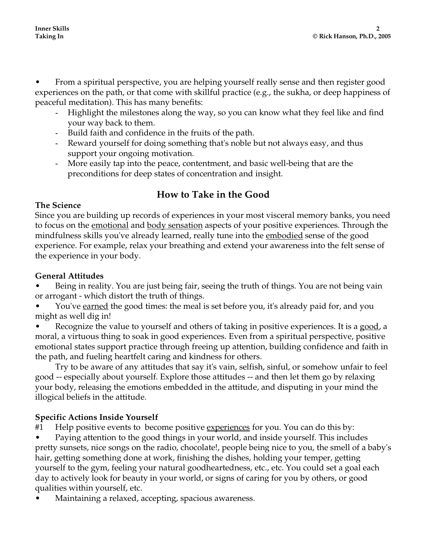• From a spiritual perspective, you are helping yourself really sense and then register good experiences on the path, or that come with skillful practice (e.g., the sukha, or deep happiness of peaceful meditation). This has many benefits:

- Highlight the milestones along the way, so you can know what they feel like and find your way back to them.
- Build faith and confidence in the fruits of the path.
- Reward yourself for doing something that's noble but not always easy, and thus support your ongoing motivation.
- More easily tap into the peace, contentment, and basic well-being that are the preconditions for deep states of concentration and insight.

## **How to Take in the Good**

#### **The Science**

Since you are building up records of experiences in your most visceral memory banks, you need to focus on the emotional and body sensation aspects of your positive experiences. Through the mindfulness skills you've already learned, really tune into the embodied sense of the good experience. For example, relax your breathing and extend your awareness into the felt sense of the experience in your body.

#### **General Attitudes**

Being in reality. You are just being fair, seeing the truth of things. You are not being vain or arrogant - which distort the truth of things.

You've **earned** the good times: the meal is set before you, it's already paid for, and you might as well dig in!

Recognize the value to yourself and others of taking in positive experiences. It is a good, a moral, a virtuous thing to soak in good experiences. Even from a spiritual perspective, positive emotional states support practice through freeing up attention, building confidence and faith in the path, and fueling heartfelt caring and kindness for others.

Try to be aware of any attitudes that say it's vain, selfish, sinful, or somehow unfair to feel good -- especially about yourself. Explore those attitudes -- and then let them go by relaxing your body, releasing the emotions embedded in the attitude, and disputing in your mind the illogical beliefs in the attitude.

### **Specific Actions Inside Yourself**

#1 Help positive events to become positive <u>experiences</u> for you. You can do this by:

• Paying attention to the good things in your world, and inside yourself. This includes pretty sunsets, nice songs on the radio, chocolate!, people being nice to you, the smell of a baby's hair, getting something done at work, finishing the dishes, holding your temper, getting yourself to the gym, feeling your natural goodheartedness, etc., etc. You could set a goal each day to actively look for beauty in your world, or signs of caring for you by others, or good qualities within yourself, etc.

• Maintaining a relaxed, accepting, spacious awareness.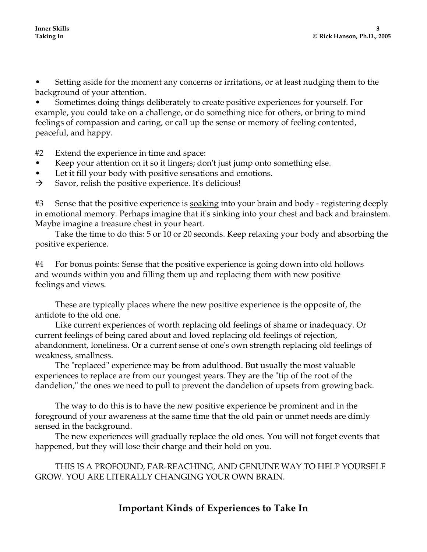• Setting aside for the moment any concerns or irritations, or at least nudging them to the background of your attention.

• Sometimes doing things deliberately to create positive experiences for yourself. For example, you could take on a challenge, or do something nice for others, or bring to mind feelings of compassion and caring, or call up the sense or memory of feeling contented, peaceful, and happy.

#2 Extend the experience in time and space:

- Keep your attention on it so it lingers; don't just jump onto something else.
- Let it fill your body with positive sensations and emotions.
- $\rightarrow$  Savor, relish the positive experience. It's delicious!

#3 Sense that the positive experience is soaking into your brain and body - registering deeply in emotional memory. Perhaps imagine that it's sinking into your chest and back and brainstem. Maybe imagine a treasure chest in your heart.

 Take the time to do this: 5 or 10 or 20 seconds. Keep relaxing your body and absorbing the positive experience.

#4 For bonus points: Sense that the positive experience is going down into old hollows and wounds within you and filling them up and replacing them with new positive feelings and views.

These are typically places where the new positive experience is the opposite of, the antidote to the old one.

Like current experiences of worth replacing old feelings of shame or inadequacy. Or current feelings of being cared about and loved replacing old feelings of rejection, abandonment, loneliness. Or a current sense of one's own strength replacing old feelings of weakness, smallness.

The "replaced" experience may be from adulthood. But usually the most valuable experiences to replace are from our youngest years. They are the "tip of the root of the dandelion," the ones we need to pull to prevent the dandelion of upsets from growing back.

The way to do this is to have the new positive experience be prominent and in the foreground of your awareness at the same time that the old pain or unmet needs are dimly sensed in the background.

The new experiences will gradually replace the old ones. You will not forget events that happened, but they will lose their charge and their hold on you.

THIS IS A PROFOUND, FAR-REACHING, AND GENUINE WAY TO HELP YOURSELF GROW. YOU ARE LITERALLY CHANGING YOUR OWN BRAIN.

## **Important Kinds of Experiences to Take In**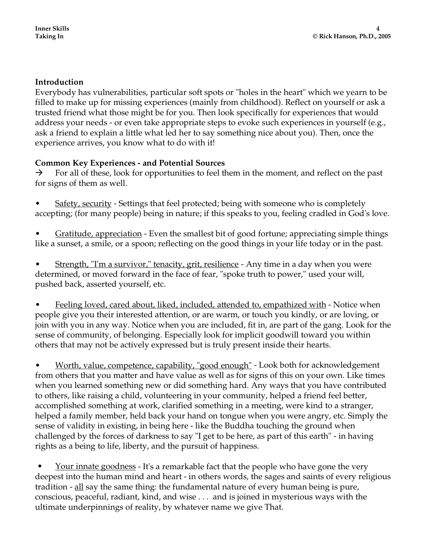#### **Introduction**

Everybody has vulnerabilities, particular soft spots or "holes in the heart" which we yearn to be filled to make up for missing experiences (mainly from childhood). Reflect on yourself or ask a trusted friend what those might be for you. Then look specifically for experiences that would address your needs - or even take appropriate steps to evoke such experiences in yourself (e.g., ask a friend to explain a little what led her to say something nice about you). Then, once the experience arrives, you know what to do with it!

#### **Common Key Experiences - and Potential Sources**

 $\rightarrow$  For all of these, look for opportunities to feel them in the moment, and reflect on the past for signs of them as well.

- Safety, security Settings that feel protected; being with someone who is completely accepting; (for many people) being in nature; if this speaks to you, feeling cradled in God's love.
- Gratitude, appreciation Even the smallest bit of good fortune; appreciating simple things like a sunset, a smile, or a spoon; reflecting on the good things in your life today or in the past.
- Strength, "I'm a survivor," tenacity, grit, resilience Any time in a day when you were determined, or moved forward in the face of fear, "spoke truth to power," used your will, pushed back, asserted yourself, etc.

• Feeling loved, cared about, liked, included, attended to, empathized with - Notice when people give you their interested attention, or are warm, or touch you kindly, or are loving, or join with you in any way. Notice when you are included, fit in, are part of the gang. Look for the sense of community, of belonging. Especially look for implicit goodwill toward you within others that may not be actively expressed but is truly present inside their hearts.

Worth, value, competence, capability, "good enough" - Look both for acknowledgement from others that you matter and have value as well as for signs of this on your own. Like times when you learned something new or did something hard. Any ways that you have contributed to others, like raising a child, volunteering in your community, helped a friend feel better, accomplished something at work, clarified something in a meeting, were kind to a stranger, helped a family member, held back your hand on tongue when you were angry, etc. Simply the sense of validity in existing, in being here - like the Buddha touching the ground when challenged by the forces of darkness to say "I get to be here, as part of this earth" - in having rights as a being to life, liberty, and the pursuit of happiness.

<u>Your innate goodness</u> - It's a remarkable fact that the people who have gone the very deepest into the human mind and heart - in others words, the sages and saints of every religious tradition - all say the same thing: the fundamental nature of every human being is pure, conscious, peaceful, radiant, kind, and wise . . . and is joined in mysterious ways with the ultimate underpinnings of reality, by whatever name we give That.